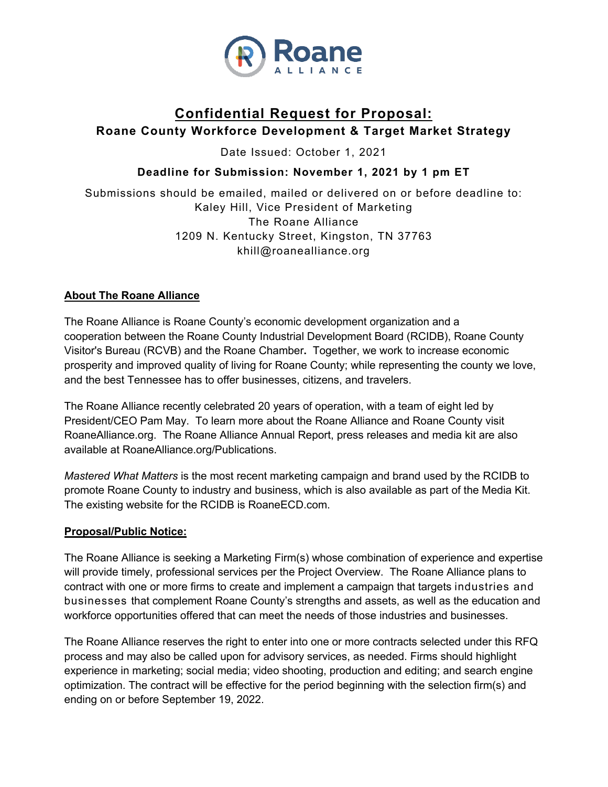

# **Confidential Request for Proposal: Roane County Workforce Development & Target Market Strategy**

Date Issued: October 1, 2021

# **Deadline for Submission: November 1, 2021 by 1 pm ET**

Submissions should be emailed, mailed or delivered on or before deadline to: Kaley Hill, Vice President of Marketing The Roane Alliance 1209 N. Kentucky Street, Kingston, TN 37763 khill@roanealliance.org

#### **About The Roane Alliance**

The Roane Alliance is Roane County's economic development organization and a cooperation between the Roane County Industrial Development Board (RCIDB), Roane County Visitor's Bureau (RCVB) and the Roane Chamber**.** Together, we work to increase economic prosperity and improved quality of living for Roane County; while representing the county we love, and the best Tennessee has to offer businesses, citizens, and travelers.

The Roane Alliance recently celebrated 20 years of operation, with a team of eight led by President/CEO Pam May. To learn more about the Roane Alliance and Roane County visit RoaneAlliance.org. The Roane Alliance Annual Report, press releases and media kit are also available at RoaneAlliance.org/Publications.

*Mastered What Matters* is the most recent marketing campaign and brand used by the RCIDB to promote Roane County to industry and business, which is also available as part of the Media Kit. The existing website for the RCIDB is RoaneECD.com.

#### **Proposal/Public Notice:**

The Roane Alliance is seeking a Marketing Firm(s) whose combination of experience and expertise will provide timely, professional services per the Project Overview. The Roane Alliance plans to contract with one or more firms to create and implement a campaign that targets industries and businesses that complement Roane County's strengths and assets, as well as the education and workforce opportunities offered that can meet the needs of those industries and businesses.

The Roane Alliance reserves the right to enter into one or more contracts selected under this RFQ process and may also be called upon for advisory services, as needed. Firms should highlight experience in marketing; social media; video shooting, production and editing; and search engine optimization. The contract will be effective for the period beginning with the selection firm(s) and ending on or before September 19, 2022.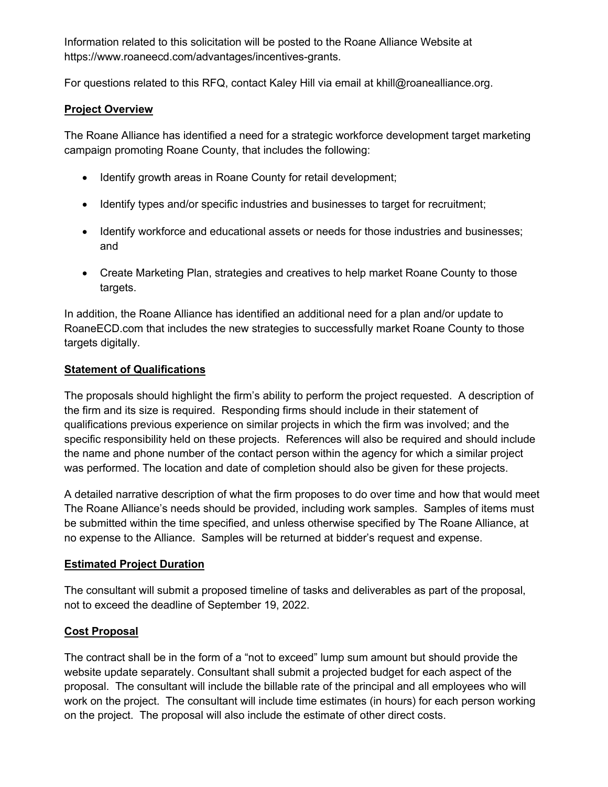Information related to this solicitation will be posted to the Roane Alliance Website at https://www.roaneecd.com/advantages/incentives-grants.

For questions related to this RFQ, contact Kaley Hill via email at khill@roanealliance.org.

#### **Project Overview**

The Roane Alliance has identified a need for a strategic workforce development target marketing campaign promoting Roane County, that includes the following:

- Identify growth areas in Roane County for retail development;
- Identify types and/or specific industries and businesses to target for recruitment;
- Identify workforce and educational assets or needs for those industries and businesses; and
- Create Marketing Plan, strategies and creatives to help market Roane County to those targets.

In addition, the Roane Alliance has identified an additional need for a plan and/or update to RoaneECD.com that includes the new strategies to successfully market Roane County to those targets digitally.

#### **Statement of Qualifications**

The proposals should highlight the firm's ability to perform the project requested. A description of the firm and its size is required. Responding firms should include in their statement of qualifications previous experience on similar projects in which the firm was involved; and the specific responsibility held on these projects. References will also be required and should include the name and phone number of the contact person within the agency for which a similar project was performed. The location and date of completion should also be given for these projects.

A detailed narrative description of what the firm proposes to do over time and how that would meet The Roane Alliance's needs should be provided, including work samples. Samples of items must be submitted within the time specified, and unless otherwise specified by The Roane Alliance, at no expense to the Alliance. Samples will be returned at bidder's request and expense.

# **Estimated Project Duration**

The consultant will submit a proposed timeline of tasks and deliverables as part of the proposal, not to exceed the deadline of September 19, 2022.

# **Cost Proposal**

The contract shall be in the form of a "not to exceed" lump sum amount but should provide the website update separately. Consultant shall submit a projected budget for each aspect of the proposal. The consultant will include the billable rate of the principal and all employees who will work on the project. The consultant will include time estimates (in hours) for each person working on the project. The proposal will also include the estimate of other direct costs.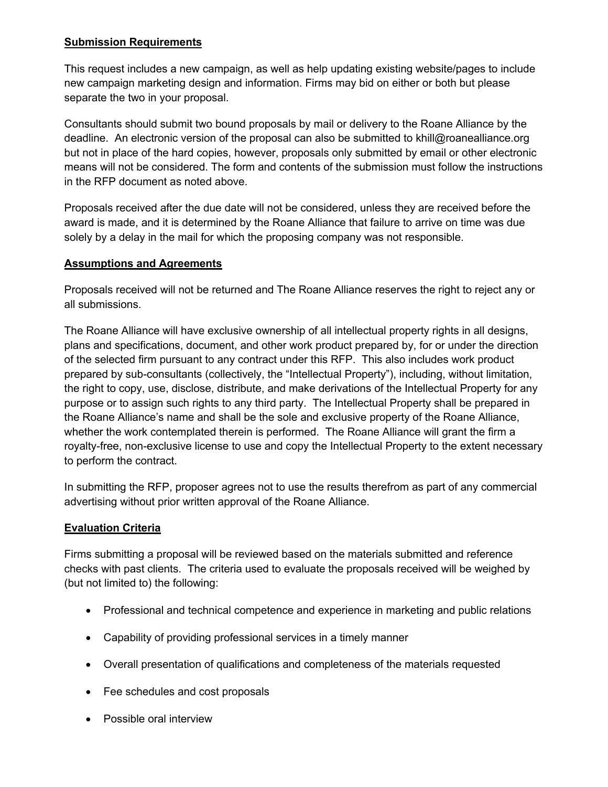### **Submission Requirements**

This request includes a new campaign, as well as help updating existing website/pages to include new campaign marketing design and information. Firms may bid on either or both but please separate the two in your proposal.

Consultants should submit two bound proposals by mail or delivery to the Roane Alliance by the deadline. An electronic version of the proposal can also be submitted to khill@roanealliance.org but not in place of the hard copies, however, proposals only submitted by email or other electronic means will not be considered. The form and contents of the submission must follow the instructions in the RFP document as noted above.

Proposals received after the due date will not be considered, unless they are received before the award is made, and it is determined by the Roane Alliance that failure to arrive on time was due solely by a delay in the mail for which the proposing company was not responsible.

#### **Assumptions and Agreements**

Proposals received will not be returned and The Roane Alliance reserves the right to reject any or all submissions.

The Roane Alliance will have exclusive ownership of all intellectual property rights in all designs, plans and specifications, document, and other work product prepared by, for or under the direction of the selected firm pursuant to any contract under this RFP. This also includes work product prepared by sub-consultants (collectively, the "Intellectual Property"), including, without limitation, the right to copy, use, disclose, distribute, and make derivations of the Intellectual Property for any purpose or to assign such rights to any third party. The Intellectual Property shall be prepared in the Roane Alliance's name and shall be the sole and exclusive property of the Roane Alliance, whether the work contemplated therein is performed. The Roane Alliance will grant the firm a royalty-free, non-exclusive license to use and copy the Intellectual Property to the extent necessary to perform the contract.

In submitting the RFP, proposer agrees not to use the results therefrom as part of any commercial advertising without prior written approval of the Roane Alliance.

# **Evaluation Criteria**

Firms submitting a proposal will be reviewed based on the materials submitted and reference checks with past clients. The criteria used to evaluate the proposals received will be weighed by (but not limited to) the following:

- Professional and technical competence and experience in marketing and public relations
- Capability of providing professional services in a timely manner
- Overall presentation of qualifications and completeness of the materials requested
- Fee schedules and cost proposals
- Possible oral interview